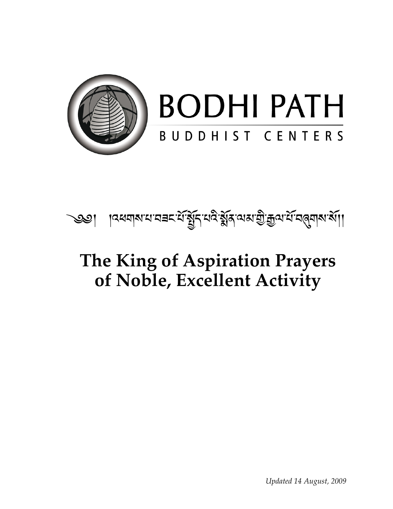

# **BODHI PATH** BUDDHIST CENTERS



#### **The King of Aspiration Prayers of Noble, Excellent Activity**

*Updated 14 August, 2009*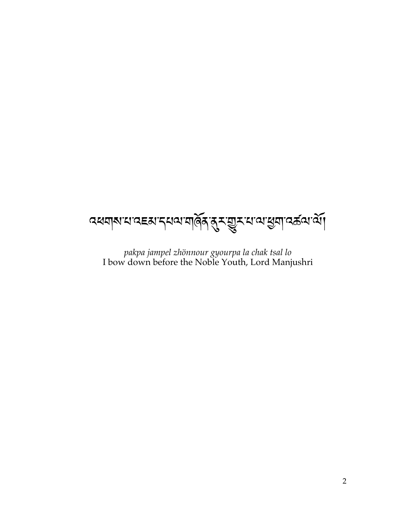

pakpa jampel zhönnour gyourpa la chak tsal lo<br>I bow down before the Noble Youth, Lord Manjushri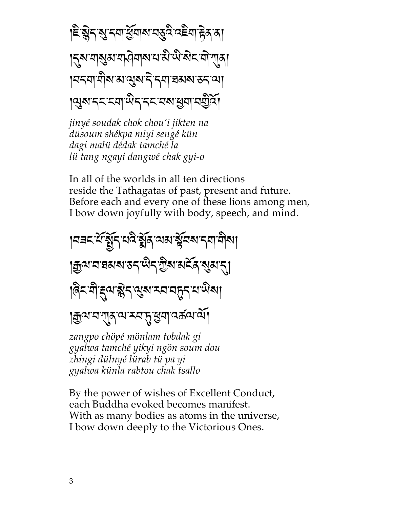। हे ब्लेन शुम्नमार्थुमाब्य महुदै दहेमा <del>हे</del> बात ड़ॎॣॺॱॻऻॺॖॳॱॻफ़ॏॺऻॺॱय़ॱऄॱऄॱऄॸॱॻॏॱग़ऻ॒ॺऻ । ସମ୍ୟାସିଷ ଅଂସ୍ତ୍ରଷ ମିଂସ୍ୟା ସ୍ଥାଷ୍ଟ ଅମ୍ୟା ॶॎॴॸॸॱॸॺॶॎऀॸॱॸॸॱॺॺॱॶॺॱॺॼॖऀढ़॔

jinyé soudak chok chou'i jikten na düsoum shékpa miyi sengé kün dagi malü dédak tamché la lü tang ngayi dangwé chak gyi-o

In all of the worlds in all ten directions reside the Tathagatas of past, present and future. Before each and every one of these lions among men, I bow down joyfully with body, speech, and mind.

।ব≡८ सॅन्ड्रॅट् सदे ड्रॅड् सर्याञ्चेंचरू द्वा मोरू। **| ক্ৰুণ্ম' ন' ঘৰুৰ মন্তব্ৰ' বিজ্**পাৰ বিজ্ঞান |देद यो द्वय श्लेद सुरु दयन् तृत्र यासैरु | | ক্ৰুণ' ন'শ্ৰম্' শৰ্ম মন্দ ধ্ৰুণা' বৰ্ষণ মাঁ। zangpo chöpé mönlam tobdak gi

gyalwa tamché yikyi ngön soum dou zhingi dülnyé lürab tü pa yi gyalwa künla rabtou chak tsallo

By the power of wishes of Excellent Conduct, each Buddha evoked becomes manifest. With as many bodies as atoms in the universe, I bow down deeply to the Victorious Ones.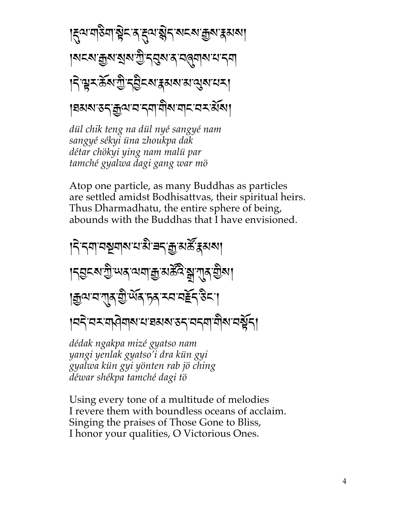$$
|\xi^{\text{cl}}\eta\text{S}\eta|\text{S}^{\text{cl}}\text{S}^{\text{cl}}\text{S}^{\text{cl}}\text{S}^{\text{cl}}\text{S}^{\text{cl}}
$$

dül chik teng na dül nyé sangyé nam sangyé sékyi üna zhoukpa dak détar chökyi ying nam malü par tamché gyalwa dagi gang war mö

Atop one particle, as many Buddhas as particles are settled amidst Bodhisattvas, their spiritual heirs. Thus Dharmadhatu, the entire sphere of being, abounds with the Buddhas that I have envisioned.

dédak ngakpa mizé gyatso nam yangi yenlak gyatso'i dra kün gyi gyalwa kün gyi yönten rab jö ching déwar shékpa tamché dagi tö

Using every tone of a multitude of melodies I revere them with boundless oceans of acclaim. Singing the praises of Those Gone to Bliss, I honor your qualities, O Victorious Ones.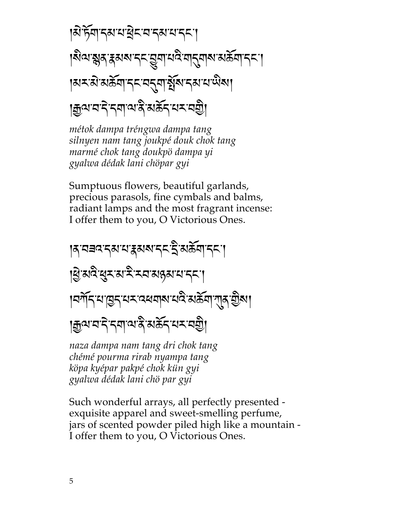$$
|\mathbf{a} \cdot \mathbf{b} \cdot \mathbf{c}|
$$
 
$$
|\mathbf{a} \cdot \mathbf{b} \cdot \mathbf{c}|
$$
 
$$
|\mathbf{a} \cdot \mathbf{c} \cdot \mathbf{c}|
$$
 
$$
|\mathbf{a} \cdot \mathbf{c} \cdot \mathbf{c} \cdot \mathbf{c}|
$$
 
$$
|\mathbf{a} \cdot \mathbf{c} \cdot \mathbf{c} \cdot \mathbf{c} \cdot \mathbf{c}|
$$
 
$$
|\mathbf{a} \cdot \mathbf{c} \cdot \mathbf{c} \cdot \mathbf{c} \cdot \mathbf{c} \cdot \mathbf{c} \cdot \mathbf{c} \cdot \mathbf{c} \cdot \mathbf{c} \cdot \mathbf{c} \cdot \mathbf{c} \cdot \mathbf{c} \cdot \mathbf{c} \cdot \mathbf{c} \cdot \mathbf{c} \cdot \mathbf{c} \cdot \mathbf{c} \cdot \mathbf{c} \cdot \mathbf{c} \cdot \mathbf{c} \cdot \mathbf{c} \cdot \mathbf{c} \cdot \mathbf{c} \cdot \mathbf{c} \cdot \mathbf{c} \cdot \mathbf{c} \cdot \mathbf{c} \cdot \mathbf{c} \cdot \mathbf{c} \cdot \mathbf{c} \cdot \mathbf{c} \cdot \mathbf{c} \cdot \mathbf{c} \cdot \mathbf{c} \cdot \mathbf{c} \cdot \mathbf{c} \cdot \mathbf{c} \cdot \mathbf{c} \cdot \mathbf{c} \cdot \mathbf{c} \cdot \mathbf{c} \cdot \mathbf{c} \cdot \mathbf{c} \cdot \mathbf{c} \cdot \mathbf{c} \cdot \mathbf{c} \cdot \mathbf{c} \cdot \mathbf{c} \cdot \mathbf{c} \cdot \mathbf{c} \cdot \mathbf{c} \cdot \mathbf{c} \cdot \mathbf{c} \cdot \mathbf{c} \cdot \mathbf{c} \cdot \mathbf{c} \cdot \mathbf{c} \cdot \mathbf{c} \cdot \mathbf{c} \cdot \mathbf{c} \cdot \mathbf{c} \cdot \mathbf{c} \cdot \mathbf{c} \cdot \mathbf{c} \cdot \mathbf{c} \cdot \mathbf{c} \cdot \mathbf{c} \cdot \mathbf{c} \cdot \mathbf{c} \cdot \mathbf{c} \cdot \mathbf{c} \cdot \mathbf{c} \cdot \math
$$

*métok dampa tréngwa dampa tang silnyen nam tang joukpé douk chok tang marmé chok tang doukpö dampa yi gyalwa dédak lani chöpar gyi*

Sumptuous flowers, beautiful garlands, precious parasols, fine cymbals and balms, radiant lamps and the most fragrant incense: I offer them to you, O Victorious Ones.

## หุสสสรุสหเร่ะ รู้.สต์ประไ |श्चे सर्वे सुरू स'र्द्रे रूप संस्थानन्। ।নৰ্শীন শান্তন শম ব্ৰহ্মৰাৰ শ্ৰমী ৰাজ্যৰ ভ্ৰমণ  $\mathbb{E}$ भाराने राजाल अक्रूट राज्य

*naza dampa nam tang dri chok tang chémé pourma rirab nyampa tang köpa kyépar pakpé chok kün gyi gyalwa dédak lani chö par gyi*

Such wonderful arrays, all perfectly presented exquisite apparel and sweet-smelling perfume, jars of scented powder piled high like a mountain - I offer them to you, O Victorious Ones.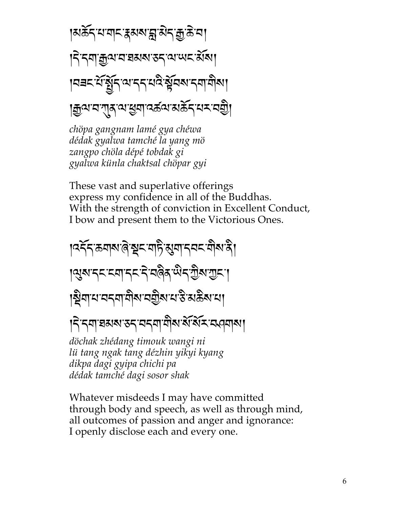|हार्क्टरपायारा क्षेत्रा को अधिक प्रभा  $\mathsf{R}$  :  $\mathsf{R}$  -  $\mathsf{R}$  ,  $\mathsf{R}$  ,  $\mathsf{R}$  ,  $\mathsf{R}$  ,  $\mathsf{R}$  ,  $\mathsf{R}$  ,  $\mathsf{R}$  ,  $\mathsf{R}$  ,  $\mathsf{R}$  ,  $\mathsf{R}$  ,  $\mathsf{R}$  ,  $\mathsf{R}$  ,  $\mathsf{R}$  ,  $\mathsf{R}$  ,  $\mathsf{R}$  ,  $\mathsf{R}$  ,  $\mathsf{R}$  ,  $\mathsf{R}$  , |नबद्धिरिज्ञान्यान्यादे सेंचब्यन्यायोब्य |ক্ৰুণ্মস্মন্ত্ৰস্মস্কৰ সম্ভিদ্যালম্পতি

*chöpa gangnam lamé gya chéwa dédak gyalwa tamché la yang mö zangpo chöla dépé tobdak gi gyalwa künla chaktsal chöpar gyi*

These vast and superlative offerings express my confidence in all of the Buddhas. With the strength of conviction in Excellent Conduct, I bow and present them to the Victorious Ones.

। বৰ্হৰ কৰাৰ জি ব্ৰুচ বাট ৰামাৰী কাৰী। । युरु दय् द्याद्य दे वर्षेद येद गुरु गुरु । ห้าเห็นเสนียม - ห้า พร้อม - เห็นเสนียม  $R$   $\sim$   $R$   $\sim$   $R$   $\sim$   $R$   $\sim$   $R$   $\sim$   $R$   $\sim$   $R$   $\sim$   $R$   $\sim$   $R$   $\sim$   $R$   $\sim$   $R$   $\sim$   $R$   $\sim$   $R$   $\sim$   $R$ *döchak zhédang timouk wangi ni*

*lü tang ngak tang dézhin yikyi kyang dikpa dagi gyipa chichi pa dédak tamché dagi sosor shak*

Whatever misdeeds I may have committed through body and speech, as well as through mind, all outcomes of passion and anger and ignorance: I openly disclose each and every one.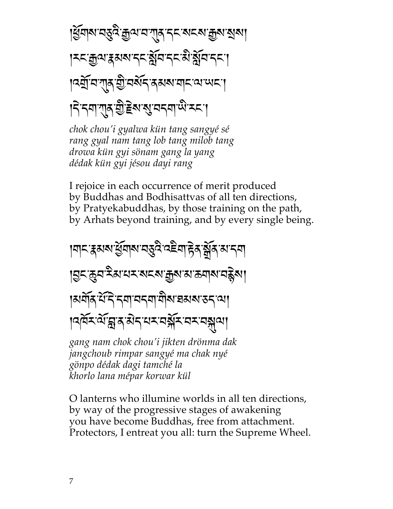|ধ্র্যান্য নত্ত্ব ক্রুণ ন শ্র্ম দ্রু নব্ম ক্রুন রানা |মমক্ৰুণ'ৰুমৰ'মম বুঁৱি'মুম ব্ৰীষ্ট্ৰবি'মুম । বর্ষ্ম বা শ্রুষ্ট বর্ষর ব্রম্বাব্য ব্য অবা |ने नया गुरु गुडित यु वनया पे रूप

chok chou'i gyalwa kün tang sangyé sé rang gyal nam tang lob tang milob tang drowa kün gyi sönam gang la yang dédak kün gyi jésou dayi rang

I rejoice in each occurrence of merit produced by Buddhas and Bodhisattvas of all ten directions, by Pratyekabuddhas, by those training on the path, by Arhats beyond training, and by every single being.

ॺॎॸॱड़ॺॺॱख़ॖऀॺॺॱॺड़ॖॺऀॱॺॾॆॺॱॸॖॆॺॱॺॗॕॺॱॺॱॸॺऻ ∣བྱང་क़ॖॖय़ॱឝऀམॱਖ਼ॸॱॺॸॺॱक़ॗॺॱॺॱक़ॺऻॺॱय़ॾॢॆॺग़ ।अर्वोद थेन्दिन्दवायदवायौ<u>रा</u>ञ्चब्धराज्ञदाया **ๆจุศั**รณ์ สรมว่า สรรมส์ สรรมส์

gang nam chok chou'i jikten drönma dak jangchoub rimpar sangyé ma chak nyé gönpo dédak dagi tamché la khorlo lana mépar korwar kül

O lanterns who illumine worlds in all ten directions, by way of the progressive stages of awakening you have become Buddhas, free from attachment. Protectors, I entreat you all: turn the Supreme Wheel.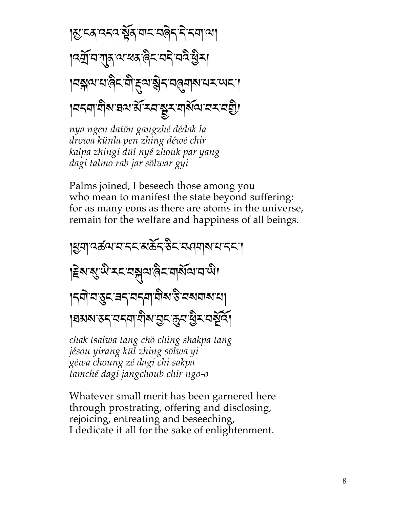nya ngen datön gangzhé dédak la drowa künla pen zhing déwé chir kalpa zhingi dül nyé zhouk par yang dagi talmo rab jar sölwar gyi

Palms joined, I beseech those among you who mean to manifest the state beyond suffering: for as many eons as there are atoms in the universe, remain for the welfare and happiness of all beings.

chak tsalwa tang chö ching shakpa tang jésou yirang kül zhing sölwa yi géwa choung zé dagi chi sakpa tamché dagi jangchoub chir ngo-o

Whatever small merit has been garnered here through prostrating, offering and disclosing, rejoicing, entreating and beseeching, I dedicate it all for the sake of enlightenment.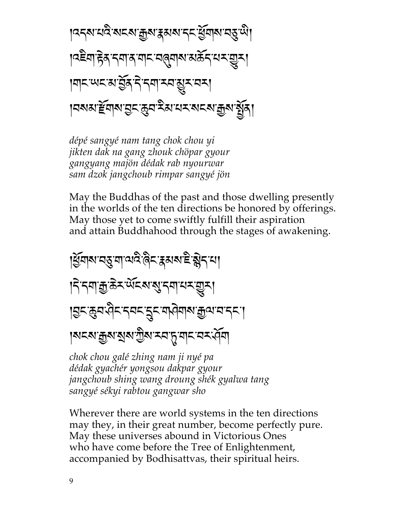dépé sangyé nam tang chok chou yi jikten dak na gang zhouk chöpar gyour gangyang majön dédak rab nyourwar sam dzok jangchoub rimpar sangyé jön

May the Buddhas of the past and those dwelling presently in the worlds of the ten directions be honored by offerings. May those yet to come swiftly fulfill their aspiration and attain Buddhahood through the stages of awakening.



chok chou galé zhing nam ji nyé pa dédak gyachér yongsou dakpar gyour jangchoub shing wang droung shék gyalwa tang sangyé sékyi rabtou gangwar sho

Wherever there are world systems in the ten directions may they, in their great number, become perfectly pure. May these universes abound in Victorious Ones who have come before the Tree of Enlightenment, accompanied by Bodhisattvas, their spiritual heirs.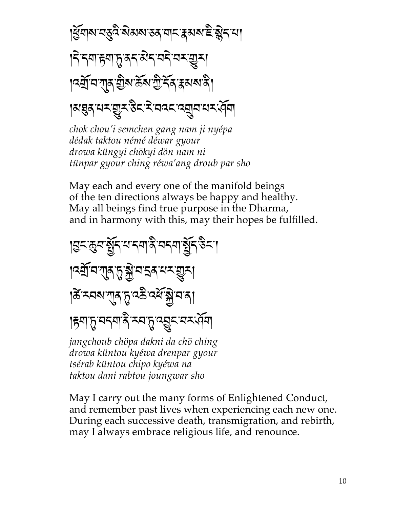chok chou'i semchen gang nam ji nyépa dédak taktou némé déwar gyour drowa küngyi chökyi dön nam ni tünpar gyour ching réwa'ang droub par sho

May each and every one of the manifold beings of the ten directions always be happy and healthy. May all beings find true purpose in the Dharma, and in harmony with this, may their hopes be fulfilled.



tsérab küntou chipo kyéwa na taktou dani rabtou joungwar sho

May I carry out the many forms of Enlightened Conduct, and remember past lives when experiencing each new one. During each successive death, transmigration, and rebirth, may I always embrace religious life, and renounce.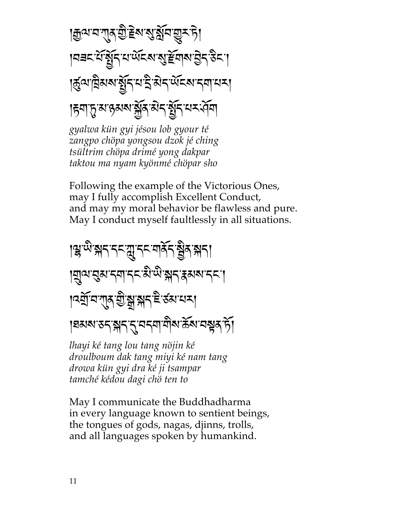| ক্ৰুণ ন শ্ৰুণ ক্ৰী চুম প্ৰাৰ্থ মুম দী निचन सुन्ध्रेर सालूहरू अस्ति। अप्रैन पुर्नु पुर्नु । |ৰ্কুণ'ট্ৰিমৰ'ৰ্কুন'থ'ই'মন'ৰ্অহৰ''ননা'থম্| 

gyalwa kün gyi jésou lob gyour té zangpo chöpa yongsou dzok jé ching tsültrim chöpa drimé yong dakpar taktou ma nyam kyönmé chöpar sho

Following the example of the Victorious Ones, may I fully accomplish Excellent Conduct, and may my moral behavior be flawless and pure. May I conduct myself faultlessly in all situations.

## । सुप्पे अन नन् यु नन् यार्कन होत अन् । **ॺॎॖॣॺॱ**ड़ॺॱॸॺॱॸॸॱऄॱऄॱॺॸॱड़ॺॺॱॸॸॱ । <u>বর্</u>মাবাশ্ম শ্রীষ্ণাস্নার উপের্যে বা १घठारा उन झन नुमन्या मोरा के रामसूत में।

lhayi ké tang lou tang nöjin ké droulboum dak tang miyi ké nam tang drowa kün gyi dra ké ji tsampar tamché kédou dagi chö ten to

May I communicate the Buddhadharma in every language known to sentient beings, the tongues of gods, nagas, djinns, trolls, and all languages spoken by humankind.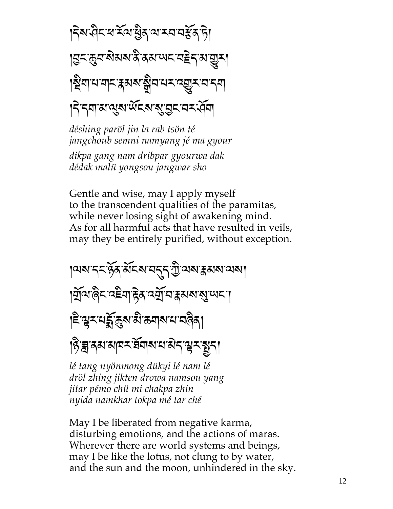déshing paröl jin la rab tsön té jangchoub semni namyang jé ma gyour dikpa gang nam dribpar gyourwa dak dédak malü yongsou jangwar sho

Gentle and wise, may I apply myself to the transcendent qualities of the paramitas, while never losing sight of awakening mind. As for all harmful acts that have resulted in veils, may they be entirely purified, without exception.

ๅฆฺฆฺॱॸड़ॱॶॕॺॱऄ॔ड़ॺॱय़ॸॣॸॖॱॻॖऀॱ**ฆ**ॺॱड़य़ॺॱय़ॺॱ यिवार्वेद वहेवा हेत वर्यो वाहसरा सुप्पदा ৼিশ্লুমশুর্নুক্রুমামীক্তবাৰ্মামানবিৰা हिन्न क्या सायर बेंग साया से दावर बाता

lé tang nyönmong dükyi lé nam lé dröl zhing jikten drowa namsou yang jitar pémo chü mi chakpa zhin nyida namkhar tokpa mé tar ché

May I be liberated from negative karma, disturbing emotions, and the actions of maras. Wherever there are world systems and beings, may I be like the lotus, not clung to by water, and the sun and the moon, unhindered in the sky.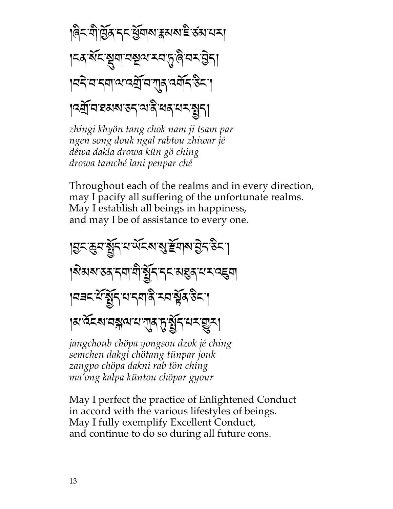zhingi khyön tang chok nam ji tsam par ngen song douk ngal rabtou zhiwar jé déwa dakla drowa kün gö ching drowa tamché lani penpar ché

Throughout each of the realms and in every direction, may I pacify all suffering of the unfortunate realms. May I establish all beings in happiness, and may I be of assistance to every one.

ड़ॎॸढ़ॖॺॷॕॗॸय़ॲड़ॺॷॾॕॺऻॺॱड़ॖॆॸॱड़ॆॸॱ । यबद संबुद्ध सम्बन्ध के स्वास्त्र हैद। ।ผันสามสุขาม 15 มี - ม ม ม ม jangchoub chöpa yongsou dzok jé ching

semchen dakgi chötang tünpar jouk zangpo chöpa dakni rab tön ching ma'ong kalpa küntou chöpar gyour

May I perfect the practice of Enlightened Conduct in accord with the various lifestyles of beings. May I fully exemplify Excellent Conduct, and continue to do so during all future eons.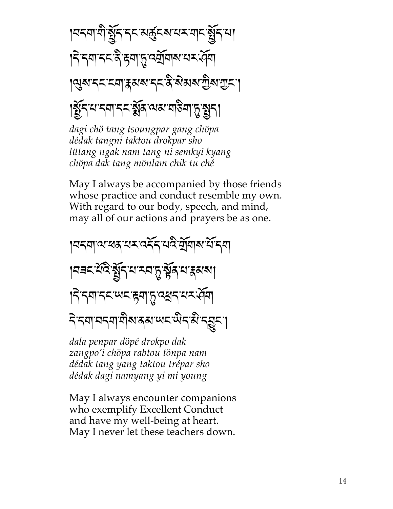k0+#-#m-]}+-+\$-13u\$=-.:-#\$-]}+-.k k+{-+#-+\$-,m-K#-\_p-8E}#=-.:-<}# k;v=-+\$-\$#-M1=-+\$-,m-={1=-<m=-<\$-k k]}+-.-+#-+\$-\*},-;1-#%m#-\_p-]+k

*dagi chö tang tsoungpar gang chöpa dédak tangni taktou drokpar sho lütang ngak nam tang ni semkyi kyang chöpa dak tang mönlam chik tu ché*

May I always be accompanied by those friends whose practice and conduct resemble my own. With regard to our body, speech, and mind, may all of our actions and prayers be as one.

|নন্নাঝ'ৰৰ 'নম্বৰ্নি'মন্ত্ৰ মুঁনাৰ মন্দি |ผสมพิวพิธี 25 - 25 25 25 26 26 26 27  $R$ ริ รุสารรมาติมาสุสาขรามิรุสาร

*dala penpar döpé drokpo dak zangpo'i chöpa rabtou tönpa nam dédak tang yang taktou trépar sho dédak dagi namyang yi mi young*

May I always encounter companions who exemplify Excellent Conduct and have my well-being at heart. May I never let these teachers down.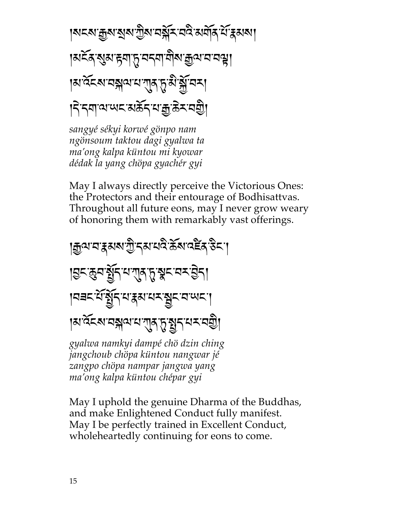sangyé sékyi korwé gönpo nam ngönsoum taktou dagi gyalwa ta ma'ong kalpa küntou mi kyowar dédak la yang chöpa gyachér gyi

May I always directly perceive the Victorious Ones: the Protectors and their entourage of Bodhisattvas. Throughout all future eons, may I never grow weary of honoring them with remarkably vast offerings.



ma'ong kalpa küntou chépar gyi

May I uphold the genuine Dharma of the Buddhas, and make Enlightened Conduct fully manifest. May I be perfectly trained in Excellent Conduct, whole heartedly continuing for eons to come.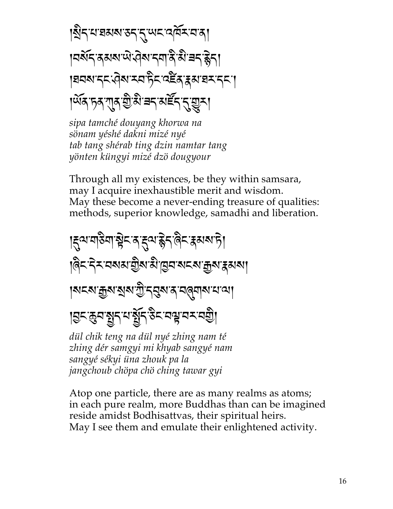|มีรุนยมมรรรุนรสุสัมสร । वर्षेद दयवाणे ज़ेवादवादे ये बद हेता |ਬਰਕਾਨ੍ਨ੍ਯ੍ਰੇਕਾਨ੍ਕਾਨ੍ਰੇਨ੍ਯ਼ਵੈੱਕ੍ਰਾੜ੍ਹਕਾਬਨਾਨ੍ਨਾ| । অঁৰ চৰ শ্ৰু হীষ্ট ব্ৰন্থ মৰ্ছন ন্মুমা

sipa tamché douyang khorwa na sönam yéshé dakni mizé nyé tab tang shérab ting dzin namtar tang yönten küngyi mizé dzö dougyour

Through all my existences, be they within samsara, may I acquire inexhaustible merit and wisdom. May these become a never-ending treasure of qualities: methods, superior knowledge, samadhi and liberation.



zhing dér samgyi mi khyab sangyé nam sangyé sékyi üna zhouk pa la jangchoub chöpa chö ching tawar gyi

Atop one particle, there are as many realms as atoms; in each pure realm, more Buddhas than can be imagined reside amidst Bodhisattvas, their spiritual heirs. May I see them and emulate their enlightened activity.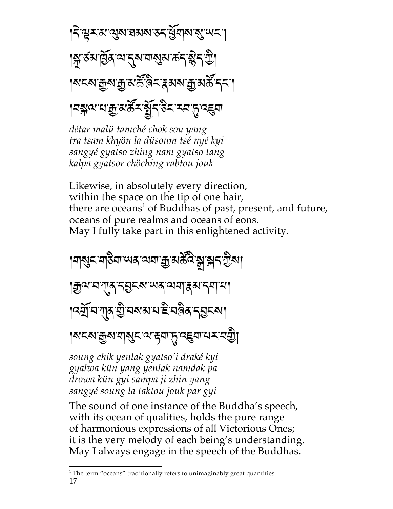निभूमयात्रुवाद्यवाद्यम् युवावाद्युप्पम् । |মুখ্যার্ট্রম্ম'ব্র্ম'নাম্ভম'র্ক্স'ম্বী <u>෦</u>ॺॸॺॱक़ॗॺॱक़ॗॱॺॾॕॱऀढ़ॸॱड़ॺॺॱक़ॗॱॺॾॕॱॸॸॱग़ ୲**བསྐལ་པ་རྱུ་མརོང་སྲོད་་རིང་རབ་ད་འ**૬ག

détar malü tamché chok sou yang tra tsam khyön la düsoum tsé nyé kyi sangyé gyatso zhing nam gyatso tang kalpa gyatsor chöching rabtou jouk

Likewise, in absolutely every direction, within the space on the tip of one hair, there are oceans<sup>1</sup> of Buddhas of past, present, and future, oceans of pure realms and oceans of eons. May I fully take part in this enlightened activity.

।याशुरू याउँया पात्र व्यया क्रु अर्कुद्रे सु सन् ग्रीषा |क्रुव्य'व'गुरु'न्डुद्रूप्'प्यद् 'व्यवा'द्गब्य'न्वा'या । दर्याय गात यो नवाय महान्या। |মহ্মাক্কুম'যা্মুহ'ম'ह्या'्तृ'दह्वया'ध्रू'यश्चै।

soung chik yenlak gyatso'i draké kyi gyalwa kün yang yenlak namdak pa drowa kün gyi sampa ji zhin yang sangyé soung la taktou jouk par gyi

The sound of one instance of the Buddha's speech, with its ocean of qualities, holds the pure range of harmonious expressions of all Victorious Ones; it is the very melody of each being's understanding. May I always engage in the speech of the Buddhas.

 $1$  The term "oceans" traditionally refers to unimaginably great quantities. 17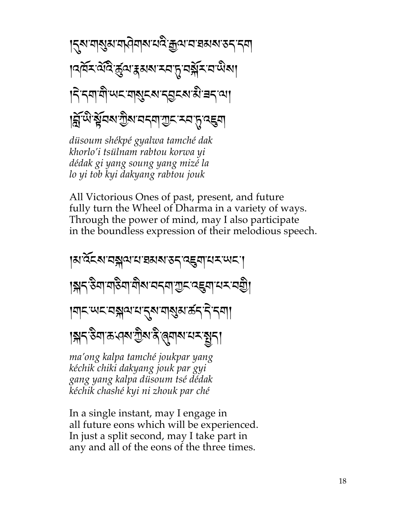। ব্ৰুণ শাৰ্থ্য শ্ৰদ্ৰীৰাৰ শেষ ক্ৰীজন প্ৰতিষ্ঠা কৰি বিধা <sub>।</sub>ৰেমিক্টেব্ৰেলে কৰা মন্দ্ৰ সম্ভিদ বাজিৰ। |ॸॆॱॸॺऻॺॖॏॱਘॸॱॺऻॺॗड़ॺॱॸड़ॗड़ॺॱऄॱॾॸॱॺऻ ह्निँप्षे श्लेवबार्गुबायदवार्गुद्र स्वातु दहवा

düsoum shékpé gyalwa tamché dak khorlo'i tsülnam rabtou korwa yi dédak gi yang soung yang mizé la lo yi tob kyi dakyang rabtou jouk

All Victorious Ones of past, present, and future fully turn the Wheel of Dharma in a variety of ways. Through the power of mind, may I also participate in the boundless expression of their melodious speech.

|มาส์คมาสุดามารมมารสาธุ์ตามสามสา ।ৠॸॱ<sup>ৡ</sup>ॺऻॱॺऻৡॺऻॱॺॖऻ॑ॺॱॼॸऺॴ॔ॱॼऀॱख़ॾऀॴॱय़ॾॱॼऺक़ॗॏ |ॺऻॸॱॴॸॱॸॠॺॱॺॱॸॣॺॱॺऻॷॺॱक़॔ॸॱॸॆॱॸॺऻऻ 

ma'ong kalpa tamché joukpar yang kéchik chiki dakyang jouk par gyi gang yang kalpa düsoum tsé dédak kéchik chashé kyi ni zhouk par ché

In a single instant, may I engage in all future eons which will be experienced. In just a split second, may I take part in any and all of the eons of the three times.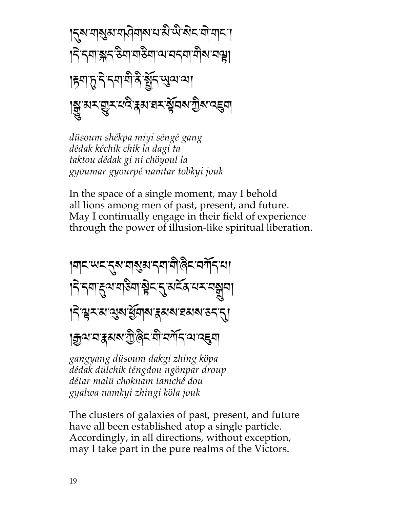ड़ॎॣॺॱॺऻॺॖॺॱॺऻऄॺऻॺॱय़ॱऄॱऄॱऄॸॱॺॊॱॺऻॸॱॎ |ॸॆॱॸॺऻॱऄॸॱऄॺऻॱॺऻऄॺऻॱॺॱॺॸऺॴॱॷऻ हिंबा हुन्नेन्न बोर्के युन्युत्पत्या ।ঝৣ<sup>੶</sup>য়য়য়ড়ৣয়ৼঢ়ড়ৢৼয়ড়ঢ়ড়ঢ়ঢ়ঢ়ড়ড়ড়৸ড়ড়৸ড়ড়৸

düsoum shékpa miyi séngé gang dédak kéchik chik la dagi ta taktou dédak gi ni chöyoul la gyoumar gyourpé namtar tobkyi jouk

In the space of a single moment, may I behold all lions among men of past, present, and future. May I continually engage in their field of experience through the power of illusion-like spiritual liberation.



gangyang düsoum dakgi zhing köpa dédak dülchik téngdou ngönpar droup détar malü choknam tamché dou gyalwa namkyi zhingi köla jouk

The clusters of galaxies of past, present, and future have all been established atop a single particle. Accordingly, in all directions, without exception, may I take part in the pure realms of the Victors.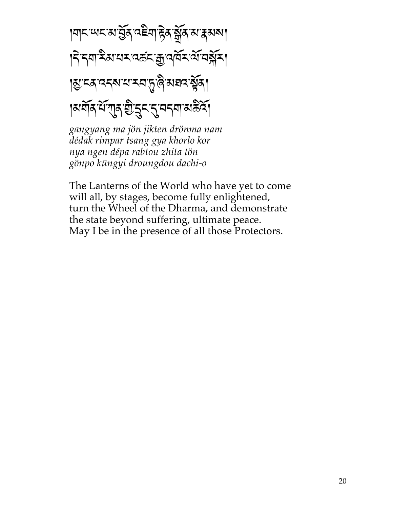विद्यालय संस्कृत उद्दया हेन सुरू या हेयया निन्नार् अयर वर्कर कुवर्षे यां वर्षे रा **।য়ৢৼৼৼ৾ঢ়৻ড়৸ৼ৸**৻৸ড়৻ড়৸ अर्याद यं गुरु शुद्ध दुवद्या अर्डवे।

gangyang ma jön jikten drönma nam dédak rimpar tsang gya khorlo kor nya ngen dépa rabtou zhita tön gönpo küngyi droungdou dachi-o

The Lanterns of the World who have yet to come will all, by stages, become fully enlightened, turn the Wheel of the Dharma, and demonstrate the state beyond suffering, ultimate peace. May I be in the presence of all those Protectors.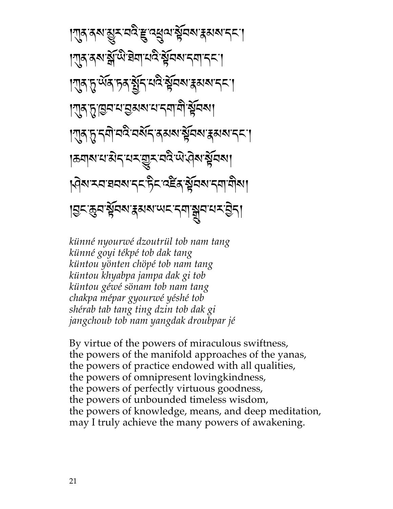| শুন নৰ মুম নই দ্ৰু ন্যুন মুমৰ ক্ষম নৰ |गुरु दय क्षे थे बेवायदे ब्रेंचब दवा दन्।  $\mathbb{K}\mathbb{R}\times\mathbb{R}$ ৰ্মীয় মন্ত্ৰীয়ৰ বিষয়াস্থ্য  $\mathbb{K}\left[ \mathbb{R}\right]$ মুদ্ৰামান্ত্ৰী বিধা  $\mathbb{K}\mathbb{R}$ ्त्रियो वर्दे वर्द्धन् उत्तरा सुवत्य द्वयान्त्र  $\mathcal{E}[\mathcal{E}_\mathcal{A}]\leq \mathcal{E}[\mathcal{E}_\mathcal{A}]\leq \mathcal{E}[\mathcal{E}_\mathcal{A}]\leq \mathcal{E}[\mathcal{E}_\mathcal{A}]\leq \mathcal{E}[\mathcal{E}_\mathcal{A}]\leq \mathcal{E}[\mathcal{E}_\mathcal{A}]\leq \mathcal{E}[\mathcal{E}_\mathcal{A}]\leq \mathcal{E}[\mathcal{E}_\mathcal{A}]\leq \mathcal{E}[\mathcal{E}_\mathcal{A}]\leq \mathcal{E}[\mathcal{E}_\mathcal{A}]\leq \mathcal{E}[\mathcal$ kgarxa aan 55 berasa akan 50 alam |त्रुम् क्रुयः स्रैयब्गः क्षया अन्य अप्रस्थान् अप्रस्थान् अप्रस्थान्

*künné nyourwé dzoutrül tob nam tang künné goyi tékpé tob dak tang küntou yönten chöpé tob nam tang küntou khyabpa jampa dak gi tob küntou géwé sönam tob nam tang chakpa mépar gyourwé yéshé tob shérab tab tang ting dzin tob dak gi jangchoub tob nam yangdak droubpar jé*

By virtue of the powers of miraculous swiftness, the powers of the manifold approaches of the yanas, the powers of practice endowed with all qualities, the powers of omnipresent lovingkindness, the powers of perfectly virtuous goodness, the powers of unbounded timeless wisdom, the powers of knowledge, means, and deep meditation, may I truly achieve the many powers of awakening.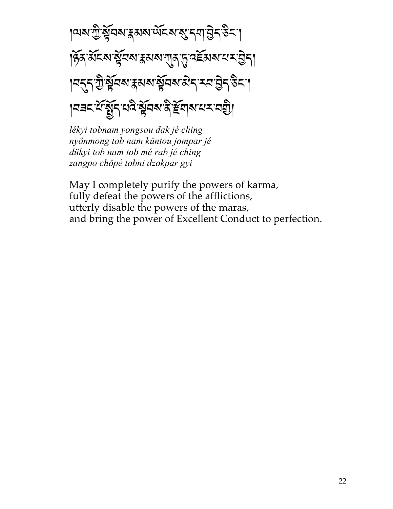१२७ गुन्ध्रुं देवा द्वाराज्ञा पुर्द्या पुर्द्या पुर्द्या पुर्द्या हिंद सेंदर सेंचर हमया गुरु दुर्दसय यम हेन्। ।<mark>नर्न्य क्रूंचबाद्य क्रॅंचबाद्यन् रूप हेर</mark>्ट्रा  $\|A\|=\sqrt{2\pi\sum_{i=1}^N\sum_{j=1}^N\sum_{j=1}^N\sum_{j=1}^N\sum_{j=1}^N\sum_{j=1}^N\sum_{j=1}^N\sum_{j=1}^N\sum_{j=1}^N\sum_{j=1}^N\sum_{j=1}^N\sum_{j=1}^N\sum_{j=1}^N\sum_{j=1}^N\sum_{j=1}^N\sum_{j=1}^N\sum_{j=1}^N\sum_{j=1}^N\sum_{j=1}^N\sum_{j=1}^N\sum_{j=1}^N\sum_{j=1}^N\sum_{j=1}^N\sum$ 

*lékyi tobnam yongsou dak jé ching nyönmong tob nam küntou jompar jé dükyi tob nam tob mé rab jé ching zangpo chöpé tobni dzokpar gyi*

May I completely purify the powers of karma, fully defeat the powers of the afflictions, utterly disable the powers of the maras, and bring the power of Excellent Conduct to perfection.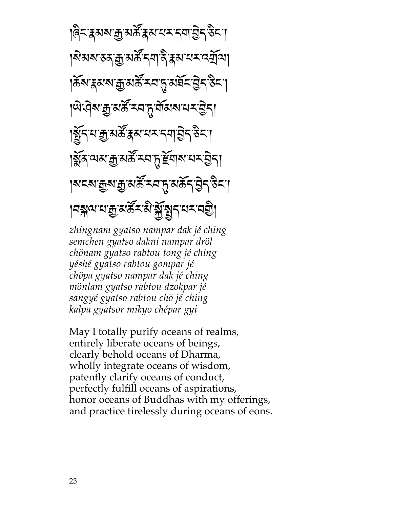<u>।</u>बेन द्रव्याकु अर्के द्रव्यायमन्त्र्याञ्चेन उन्या |মযমাত্তমক্কু অৰ্স্ক'নমানী ব্লকামে অৰ্মুত্ৰা |శ্లేశాశిశాశిశ్వేధి ప్రాథం  $|$ ঞ্জি:প্ৰিমক্ৰু অৰ্ক্ষ মন্দ্ৰ মুখ্য মন্দ্ৰ স্বীকা  $|\widetilde{X}^{\prime}_1\widetilde{X}^{\prime\prime}_2\widetilde{X}^{\prime\prime}_3\widetilde{X}^{\prime\prime}_4\widetilde{X}^{\prime\prime}_5\widetilde{X}^{\prime\prime\prime}_5\widetilde{X}^{\prime\prime\prime}_6\widetilde{X}^{\prime\prime\prime}_7\widetilde{X}^{\prime\prime\prime}_7\widetilde{X}^{\prime\prime\prime}_7\widetilde{X}^{\prime\prime\prime}\widetilde{X}^{\prime\prime\prime}_7\widetilde{X}^{\prime\prime\prime}\widetilde{X}^{\prime\prime\prime}_7\widetilde{X}^{\prime\$  $|\widetilde{\mathbb{X}}$ ৰ্মশ্মাক্ৰু অৰ্ক্ষিত্ৰ মৃদ্দিৰ্ঘৰ অধ্যয়ন |মহমান্নুমান্নু মৰ্দ্ৰ মন্দ্ৰ মৰ্চ্ন বিদ্ৰা  $|$ ମବ୍ଲାଦାଧ୍ୟ ହି $\mathbb{R}$ ର୍ୟାକ୍ତ $\mathbb{R}$ ନ୍ୟିକ୍ରମ $\mathbb{R}$ ାମ୍ବ $\mathbb{R}$ 

*zhingnam gyatso nampar dak jé ching semchen gyatso dakni nampar dröl chönam gyatso rabtou tong jé ching yéshé gyatso rabtou gompar jé chöpa gyatso nampar dak jé ching mönlam gyatso rabtou dzokpar jé sangyé gyatso rabtou chö jé ching kalpa gyatsor mikyo chépar gyi*

May I totally purify oceans of realms, entirely liberate oceans of beings, clearly behold oceans of Dharma, wholly integrate oceans of wisdom, patently clarify oceans of conduct, perfectly fulfill oceans of aspirations, honor oceans of Buddhas with my offerings, and practice tirelessly during oceans of eons.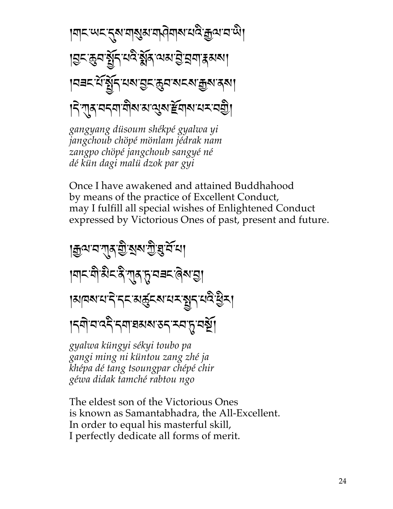|मादायदात्रामाराज्ञामानेमारायदे:क्रुवावायो। |নaন যঁপুঁৰ মন্ত ডুন নন নাক্স ৰশ |ने गुरु ननगणीरा अालुरु हेवारा मन्यु

gangyang düsoum shékpé gyalwa yi jangchoub chöpé mönlam jédrak nam zangpo chöpé jangchoub sangyé né dé kün dagi malü dzok par gyi

Once I have awakened and attained Buddhahood by means of the practice of Excellent Conduct, may I fulfill all special wishes of Enlightened Conduct expressed by Victorious Ones of past, present and future.

## । দ্রুন্ম ন শ্র<u>ব্র ব্রা</u>ন্স দ্রী ব্রান্স না ।ॺॸॎॱॺऀॱऄॸॱदॆॱग़॒**ॸॱ**ॸॖॱॺॾॸॱढ़॓ॺॱड़ॖॖॖॖ ।মানম'ম'ন়'ন্ন'মৰ্ক্তুনম'মমন্ত্ৰুন'মন্ত্ৰ'ষ্ট্ৰম্ १८बो व दे दया वसरा उद र व ह वया

gyalwa küngyi sékyi toubo pa gangi ming ni küntou zang zhé ja khépa dé tang tsoungpar chépé chir géwa didak tamché rabtou ngo

The eldest son of the Victorious Ones is known as Samantabhadra, the All-Excellent. In order to equal his masterful skill, I perfectly dedicate all forms of merit.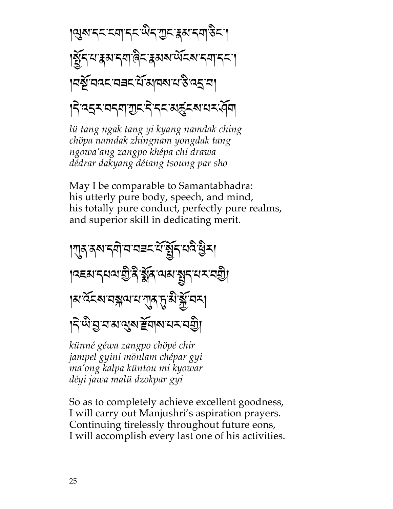।ॶॺॱॸॸॱॸॺॱॸॸॱ<sup>ख़ऀ</sup>ॸॱॻॖॸॱड़ॺॱॸॺॱऄॸॱ<u>ॱ</u> ड्विं मन्या इस दमाले र इस अध्य दिन दिन ๚ฐ์ฯฯ ฯระ นั่นๆผนวัวว่า |देख्दर वदवा गुरू दे दर अर्दुर अधर पेवा

lü tang ngak tang yi kyang namdak ching chöpa namdak zhingnam yongdak tang ngowa'ang zangpo khépa chi drawa dédrar dakyang détang tsoung par sho

May I be comparable to Samantabhadra: his utterly pure body, speech, and mind, his totally pure conduct, perfectly pure realms, and superior skill in dedicating merit.

## | गुरु दब दबी व वचन ये बेंद यवे हैन्। । उद्यानयवाद्यो क्षेत्र वारा सुनायमान्यी। <sub>|</sub>য়<sup>৻</sup>ঽঽয়ৼঽৠৢৢয়৻ৼ৻য়৾ঀঢ়ৢ৻ৼৢ৻ৼ৻ৼ৻৸ |दे प्राया अप स्वाय प्रायक्षी

künné géwa zangpo chöpé chir jampel gyini mönlam chépar gyi ma'ong kalpa küntou mi kyowar déyi jawa malü dzokpar gyi

So as to completely achieve excellent goodness, I will carry out Manjushri's aspiration prayers. Continuing tirelessly throughout future eons, I will accomplish every last one of his activities.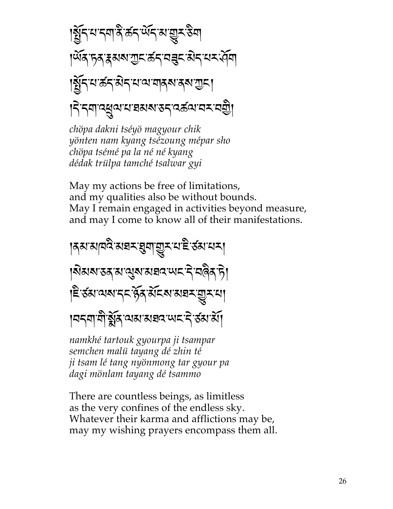chöpa dakni tséyö magyour chik yönten nam kyang tsézoung mépar sho chöpa tsémé pa la né né kyang dédak trülpa tamché tsalwar gyi

May my actions be free of limitations, and my qualities also be without bounds. May I remain engaged in activities beyond measure, and may I come to know all of their manifestations.

|ਨਕਾਕ||ਸਕੈ'ਕਬਨ'ਬੁੱਧ|'ਗੁਨ'ਪ'ਛੇ ਰੱਕਾਧਨ| ห้มมมรสุ มหูมมรรม พร ริ สติส กิ हिन्छा यश्य द्व हेर्द्र संदर समय यूरया 1959 मी यूरि या राजधर पर दे उठा या

namkhé tartouk gyourpa ji tsampar semchen malü tayang dé zhin té ji tsam lé tang nyönmong tar gyour pa dagi mönlam tayang dé tsammo

There are countless beings, as limitless as the very confines of the endless sky. Whatever their karma and afflictions may be, may my wishing prayers encompass them all.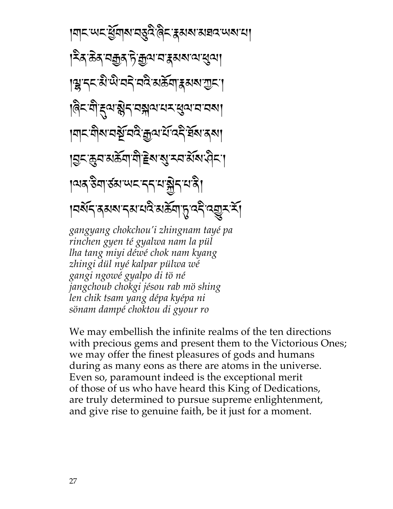ฅॸॎॱॴड़ॱॶॗॕॺऻॺॱॳड़ऀड़ॱॖॳॗड़ॱॳॴॴॾॳॎॱॴॴॴ <sub>୲</sub>ঽৢ৾৾ৼ<u>ড়৶ঢ়</u>ঀ৾ৼঀৼ৻৸৻৸৻৸৻ড়৻ **ॗॎॱॸ**ड़ॱख़ऀॱऄॱय़ॸॆॱय़ॺॆॱॺॾॕॺॱॾॺॺॱॻॖड़ॱॱ |देऽ:मैं दुव:ब्लेऽ'वङ्गवाद्यराख्यावावबा ।শ**ৃত্ৰাৰ অৰ্থসক্ৰী শ্ৰ**ণস্থাৰ সম্ভিতি বি ड़ॎॸफ़ॣॺॴक़ॕॺॵॎॾॴॷॱॸॺॱॶॕॺॱॷॸॱ १२७ उेवा उठा पाद दद याञ्चेत यात्रे। ।নৰ্থন ৰ্মৰান্ম নাই মৰ্ক্ৰণ দূত্ব ব্ৰুমৰ্শ gangyang chokchou'i zhingnam tayé pa rinchen gyen té gyalwa nam la pül lha tang miyi déwé chok nam kyang

zhingi dül nyé kalpar pülwa wé gangi ngowé gyalpo di tö né jangchoub chokgi jésou rab mö shing len chik tsam yang dépa kyépa ni sönam dampé choktou di gyour ro

We may embellish the infinite realms of the ten directions with precious gems and present them to the Victorious Ones; we may offer the finest pleasures of gods and humans during as many eons as there are atoms in the universe. Even so, paramount indeed is the exceptional merit of those of us who have heard this King of Dedications, are truly determined to pursue supreme enlightenment, and give rise to genuine faith, be it just for a moment.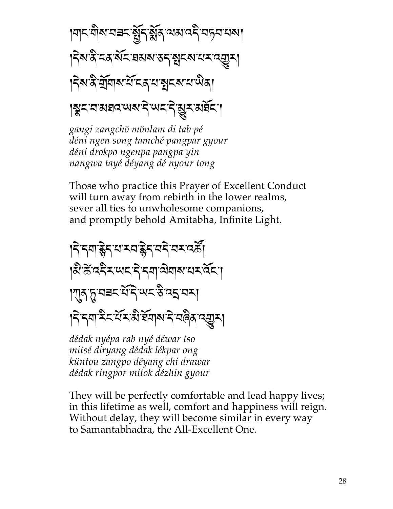$$
|\mathcal{A}|\leq \mathcal{A}|\leq 2
$$

gangi zangchö mönlam di tab pé déni ngen song tamché pangpar gyour déni drokpo ngenpa pangpa yin nangwa tayé déyang dé nyour tong

Those who practice this Prayer of Excellent Conduct will turn away from rebirth in the lower realms, sever all ties to unwholesome companions, and promptly behold Amitabha, Infinite Light.

#### निन्नार्हेन याम्बद्धेन वने वमवर्हे। हिन्देव्दरप्पददिन्यालेवारायरवेदा एस् सम्बद्धिंदे सद्धियन् । निन्नयाद्रैद सेंद से बेंबार ने बढ़े द्यू ना

dédak nyépa rab nyé déwar tso mitsé diryang dédak lékpar ong küntou zangpo déyang chi drawar dédak ringpor mitok dézhin gyour

They will be perfectly comfortable and lead happy lives; in this lifetime as well, comfort and happiness will reign. Without delay, they will become similar in every way to Samantabhadra, the All-Excellent One.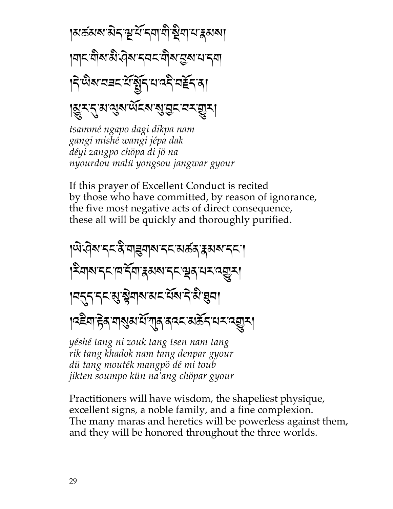<sub>|</sub>মৰ্ক্ৰমম'ৰীব'শ্ৰু'ৰ্ম'ববা'মী'ষ্ট্ৰমা'ম'ক্কমমা **ๆๆ< ติม มิ ดิม รุสร ติม จูม ม รุ**ศ |दे प्रथानचर संसुद्र साददे नई दा। । अन्य सुरा सुरा पाट रा सुन्न सुन।

tsammé ngapo dagi dikpa nam gangi mishé wangi jépa dak déyi zangpo chöpa di jö na nyourdou malii yongsou jangwar gyour

If this prayer of Excellent Conduct is recited by those who have committed, by reason of ignorance, the five most negative acts of direct consequence, these all will be quickly and thoroughly purified.

$$
|x^{1}x^{2}y^{3}y^{2}y^{4}|
$$

yéshé tang ni zouk tang tsen nam tang rik tang khadok nam tang denpar gyour dü tang mouték mangpö dé mi toub jikten soumpo kün na'ang chöpar gyour

Practitioners will have wisdom, the shapeliest physique, excellent signs, a noble family, and a fine complexion. The many maras and heretics will be powerless against them, and they will be honored throughout the three worlds.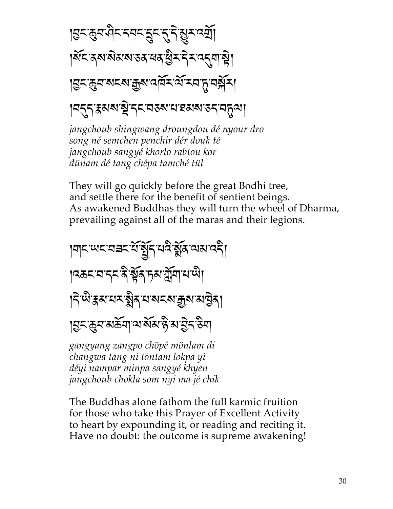ड़ॎॸक़ॖय़ऄऀॸॸॸॸॸॸॣॸॸॖॸॖऀॷॸख़ॺॕऻॖ ।মঁহ ৰ্ম মন্তম তৰ ধৰ ষ্ট্ৰহ ইহ ব্ৰুদাম্বী **|བྱང་རྱབ་མངས་རྱས་འལོར་ལོ་རབ་ད་བསྐོར།** 

|ন্দ্ৰম্বৰুত্ম স্থাদ্দৰ স্বৰুত্ম স্বৰুত্ম স্বৰ্দ্ব

jangchoub shingwang droungdou dé nyour dro song né semchen penchir dér douk té jangchoub sangyé khorlo rabtou kor dünam dé tang chépa tamché tül

They will go quickly before the great Bodhi tree, and settle there for the benefit of sentient beings. As awakened Buddhas they will turn the wheel of Dharma, prevailing against all of the maras and their legions.

विद्यालय संस्कृत तुर्व अप्र व्यथ पट्टी। ।৭৯८ বাব্ধ ইস্কুৰ চমাৰ্শ্লিবাথাঞ্জী ।<়<sup>ূ</sup>ঞ্জী<sub>র</sub>য়ায়মন্ত্রীর ঘাষ্মমন্ত্রান্ত্রান্ত্র 

gangyang zangpo chöpé mönlam di changwa tang ni töntam lokpa yi déyi nampar minpa sangyé khyen jangchoub chokla som nyi ma jé chik

The Buddhas alone fathom the full karmic fruition for those who take this Prayer of Excellent Activity to heart by expounding it, or reading and reciting it. Have no doubt: the outcome is supreme awakening!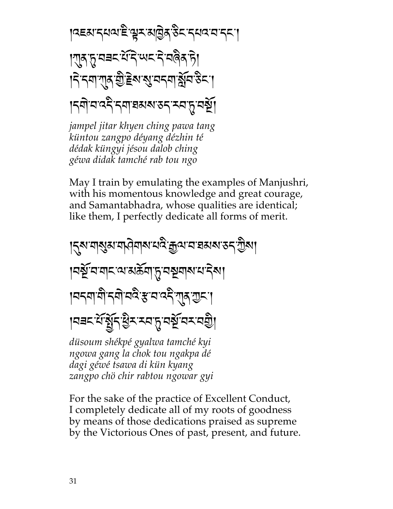19EN'5491'E' AT NQA 85'549'A'55'1  $\mathbb{K}$ क्षिप्तृ सम्बद्धाः स्वित् प्रौ $\mathbb{K}$ क्षित् प्रौ $\mathbb{K}$ |ॸॆॱॸॺॱग़ॖॸॱॼॖऀॱॾॺॱॺॖॱ<u>ॺ</u>ॸॺॱॷॕॺॱ<sup>ड़ॖ</sup>ॸॱ<mark>ॱ</mark> หญิงสาราช พระพระพระพร

*jampel jitar khyen ching pawa tang küntou zangpo déyang dézhin té dédak küngyi jésou dalob ching géwa didak tamché rab tou ngo*

May I train by emulating the examples of Manjushri, with his momentous knowledge and great courage, and Samantabhadra, whose qualities are identical; like them, I perfectly dedicate all forms of merit.



For the sake of the practice of Excellent Conduct, I completely dedicate all of my roots of goodness by means of those dedications praised as supreme by the Victorious Ones of past, present, and future.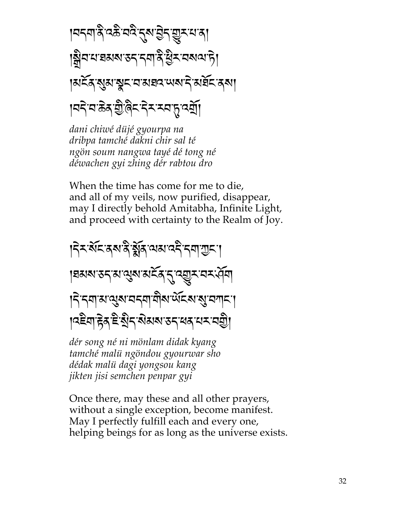dani chiwé düjé gyourpa na dribpa tamché dakni chir sal té ngön soum nangwa tayé dé tong né déwachen gyi zhing dér rabtou dro

When the time has come for me to die, and all of my veils, now purified, disappear, may I directly behold Amitabha, Infinite Light, and proceed with certainty to the Realm of Joy.



dér song né ni mönlam didak kyang tamché malii ngöndou gyourwar sho dédak malü dagi yongsou kang jikten jisi semchen penpar gyi

Once there, may these and all other prayers, without a single exception, become manifest. May I perfectly fulfill each and every one, helping beings for as long as the universe exists.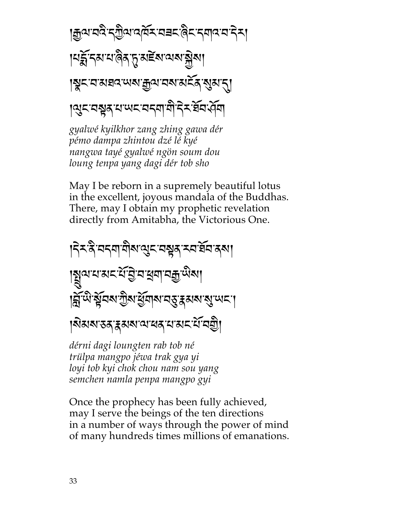$$
|\mathcal{J}_{\mathcal{A}}\mathcal{J}_{\mathcal{A}}\mathcal{J}_{\mathcal{A}}\mathcal{J}_{\mathcal{A}}\mathcal{J}_{\mathcal{A}}\mathcal{J}_{\mathcal{A}}\mathcal{J}_{\mathcal{A}}\mathcal{J}_{\mathcal{A}}\mathcal{J}_{\mathcal{A}}\mathcal{J}_{\mathcal{A}}\mathcal{J}_{\mathcal{A}}\mathcal{J}_{\mathcal{A}}\mathcal{J}_{\mathcal{A}}\mathcal{J}_{\mathcal{A}}\mathcal{J}_{\mathcal{A}}\mathcal{J}_{\mathcal{A}}\mathcal{J}_{\mathcal{A}}\mathcal{J}_{\mathcal{A}}\mathcal{J}_{\mathcal{A}}\mathcal{J}_{\mathcal{A}}\mathcal{J}_{\mathcal{A}}\mathcal{J}_{\mathcal{A}}\mathcal{J}_{\mathcal{A}}\mathcal{J}_{\mathcal{A}}\mathcal{J}_{\mathcal{A}}\mathcal{J}_{\mathcal{A}}\mathcal{J}_{\mathcal{A}}\mathcal{J}_{\mathcal{A}}\mathcal{J}_{\mathcal{A}}\mathcal{J}_{\mathcal{A}}\mathcal{J}_{\mathcal{A}}\mathcal{J}_{\mathcal{A}}\mathcal{J}_{\mathcal{A}}\mathcal{J}_{\mathcal{A}}\mathcal{J}_{\mathcal{A}}\mathcal{J}_{\mathcal{A}}\mathcal{J}_{\mathcal{A}}\mathcal{J}_{\mathcal{A}}\mathcal{J}_{\mathcal{A}}\mathcal{J}_{\mathcal{A}}\mathcal{J}_{\mathcal{A}}\mathcal{J}_{\mathcal{A}}\mathcal{J}_{\mathcal{A}}\mathcal{J}_{\mathcal{A}}\mathcal{J}_{\mathcal{A}}\mathcal{J}_{\mathcal{A}}\mathcal{J}_{\mathcal{A}}\mathcal{J}_{\mathcal{A}}\mathcal{J}_{\mathcal{A}}\mathcal{J}_{\mathcal{A}}\mathcal{J}_{\mathcal{A}}\mathcal{J}_{\mathcal{A}}\mathcal{J}_{\mathcal{A}}\mathcal{J}_{\mathcal{A}}\mathcal{J}_{\mathcal{A}}\mathcal{J}_{\mathcal{A}}\mathcal{J}_{\mathcal{A}}\mathcal{J}_{\mathcal{A}}\mathcal{J}_{\mathcal{A}}\mathcal{J}_{\mathcal{A}}\mathcal{J}_{\mathcal{A}}\mathcal{J}_{\mathcal{A}}\mathcal{J}_{\mathcal{A}}\mathcal
$$

gyalwé kyilkhor zang zhing gawa dér pémo dampa zhintou dzé lé kyé nangwa tayé gyalwé ngön soum dou loung tenpa yang dagi dér tob sho

May I be reborn in a supremely beautiful lotus in the excellent, joyous mandala of the Buddhas. There, may I obtain my prophetic revelation directly from Amitabha, the Victorious One.



dérni dagi loungten rab tob né trülpa mangpo jéwa trak gya yi loyi tob kyi chok chou nam sou yang semchen namla penpa mangpo gyi

Once the prophecy has been fully achieved, may I serve the beings of the ten directions in a number of ways through the power of mind of many hundreds times millions of emanations.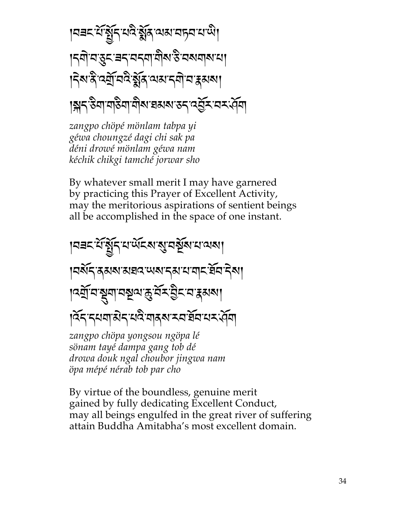। यवदार्य हेंद्रियादे हेंद्रियाद्या यान्याय पो |ॸॺॊॱॺॱड़ॗॸॱॿॸॱॺॸॺॱॺऀॏॺॱऀऄॱॺॺॺऻॺॱॺऻ हिंबादै दर्यो वदै र्ड्सेंद वारा दवी वार अबा 

zangpo chöpé mönlam tabpa yi géwa choungzé dagi chi sak pa déni drowé mönlam géwa nam kéchik chikgi tamché jorwar sho

By whatever small merit I may have garnered by practicing this Prayer of Excellent Activity, may the meritorious aspirations of sentient beings all be accomplished in the space of one instant.

|ผสะหันที่ ส.ส.ส.ส์ สมัย ส.ส. **ๅ๘จัรสุสส**หมสุวนสรุสรามสุรชัสริม ।द्र्यायञ्जूषायञ्चयकुर्येर हेर वाहस्रया ।देन नयवासेन यदे वादरू मय ईव यम पेवा zangpo chöpa yongsou ngöpa lé sönam tayé dampa gang tob dé drowa douk ngal choubor jingwa nam öpa mépé nérab tob par cho

By virtue of the boundless, genuine merit gained by fully dedicating Excellent Conduct, may all beings engulfed in the great river of suffering attain Buddha Amitabha's most excellent domain.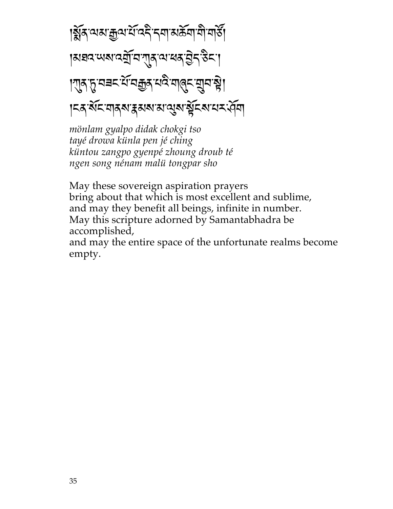क्लिया कृषाये दिन दवा अर्कवा वो वार्डी |ผสฉพมฉฎัธฑุสุ ผสสฐรริรา । गुरु तुः सबद सं सक्कुरु सदि सालु स्यान हो। ।<& মঁহ নাৰ্ম্য স্কুৰ্ম্ম নামুৰ্ম যুঁহৰ যম ধৰ্ম

mönlam gyalpo didak chokgi tso tayé drowa künla pen jé ching küntou zangpo gyenpé zhoung droub té ngen song nénam malü tongpar sho

May these sovereign aspiration prayers bring about that which is most excellent and sublime, and may they benefit all beings, infinite in number. May this scripture adorned by Samantabhadra be accomplished,

and may the entire space of the unfortunate realms become empty.